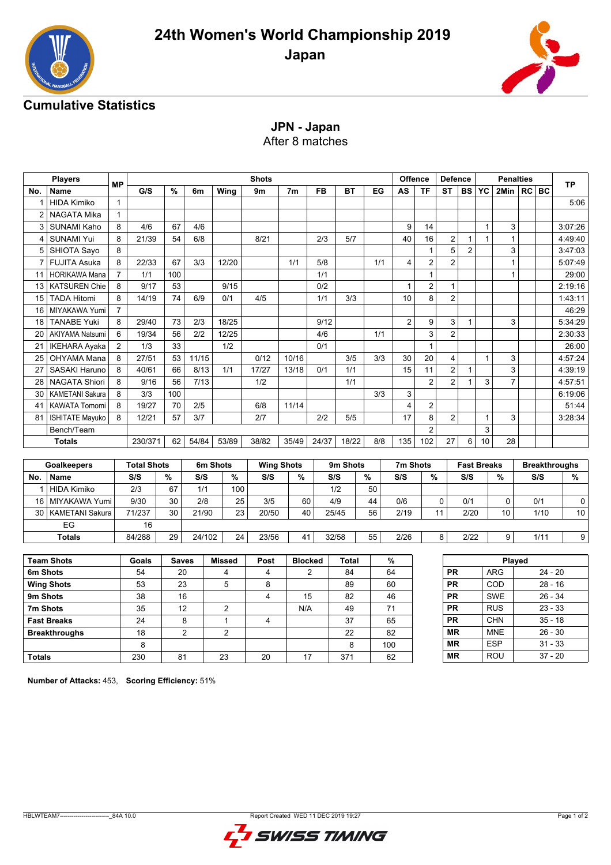



## **Cumulative Statistics**

**JPN - Japan** After 8 matches

| <b>Players</b> |                        |                |                    | <b>Shots</b> |                |                         |                |                   |                |              |               | <b>Offence</b>  | <b>Defence</b> |                | <b>Penalties</b>   |              |                |           | <b>TP</b> |                      |
|----------------|------------------------|----------------|--------------------|--------------|----------------|-------------------------|----------------|-------------------|----------------|--------------|---------------|-----------------|----------------|----------------|--------------------|--------------|----------------|-----------|-----------|----------------------|
| No.            | <b>Name</b>            | <b>MP</b>      | G/S                | %            | 6m             | Wing                    | 9m             | 7 <sub>m</sub>    | FB             | ВT           | EG            | AS              | <b>TF</b>      | <b>ST</b>      |                    | <b>BS YC</b> | 2Min           |           | $RC$ BC   |                      |
| 1              | <b>HIDA Kimiko</b>     | $\mathbf{1}$   |                    |              |                |                         |                |                   |                |              |               |                 |                |                |                    |              |                |           |           | 5:06                 |
| $\overline{2}$ | NAGATA Mika            | $\mathbf{1}$   |                    |              |                |                         |                |                   |                |              |               |                 |                |                |                    |              |                |           |           |                      |
| 3              | <b>SUNAMI Kaho</b>     | 8              | 4/6                | 67           | 4/6            |                         |                |                   |                |              |               | 9               | 14             |                |                    | $\mathbf{1}$ | 3              |           |           | 3:07:26              |
| $\overline{4}$ | <b>SUNAMI Yui</b>      | 8              | 21/39              | 54           | 6/8            |                         | 8/21           |                   | 2/3            | 5/7          |               | $\overline{40}$ | 16             | $\overline{c}$ | $\mathbf{1}$       | $\mathbf{1}$ | $\mathbf{1}$   |           |           | 4:49:40              |
| 5              | SHIOTA Sayo            | 8              |                    |              |                |                         |                |                   |                |              |               |                 | $\mathbf{1}$   | 5              | $\overline{2}$     |              | 3              |           |           | 3:47:03              |
| $\overline{7}$ | <b>FUJITA Asuka</b>    | 8              | 22/33              | 67           | 3/3            | 12/20                   |                | 1/1               | 5/8            |              | 1/1           | 4               | $\overline{c}$ | $\overline{2}$ |                    |              | $\mathbf{1}$   |           |           | 5:07:49              |
| 11             | <b>HORIKAWA Mana</b>   | $\overline{7}$ | 1/1                | 100          |                |                         |                |                   | 1/1            |              |               |                 | $\mathbf{1}$   |                |                    |              | $\mathbf{1}$   |           |           | 29:00                |
| 13             | <b>KATSUREN Chie</b>   | 8              | 9/17               | 53           |                | 9/15                    |                |                   | 0/2            |              |               | $\mathbf{1}$    | $\overline{c}$ | $\mathbf{1}$   |                    |              |                |           |           | 2:19:16              |
| 15             | <b>TADA Hitomi</b>     | 8              | 14/19              | 74           | 6/9            | 0/1                     | 4/5            |                   | 1/1            | 3/3          |               | 10              | 8              | $\overline{2}$ |                    |              |                |           |           | 1:43:11              |
| 16             | MIYAKAWA Yumi          | $\overline{7}$ |                    |              |                |                         |                |                   |                |              |               |                 |                |                |                    |              |                |           |           | 46:29                |
| 18             | <b>TANABE Yuki</b>     | 8              | 29/40              | 73           | 2/3            | 18/25                   |                |                   | 9/12           |              |               | $\overline{2}$  | 9              | 3              | 1                  |              | 3              |           |           | 5:34:29              |
| 20             | <b>AKIYAMA Natsumi</b> | 6              | 19/34              | 56           | 2/2            | 12/25                   |                |                   | 4/6            |              | 1/1           |                 | 3              | 2              |                    |              |                |           |           | 2:30:33              |
| 21             | <b>IKEHARA Ayaka</b>   | 2              | 1/3                | 33           |                | 1/2                     |                |                   | 0/1            |              |               |                 | $\mathbf{1}$   |                |                    |              |                |           |           | 26:00                |
| 25             | OHYAMA Mana            | 8              | 27/51              | 53           | 11/15          |                         | 0/12           | 10/16             |                | 3/5          | 3/3           | 30              | 20             | $\overline{4}$ |                    | $\mathbf{1}$ | 3              |           |           | 4:57:24              |
| 27             | <b>SASAKI Haruno</b>   | 8              | 40/61              | 66           | 8/13           | 1/1                     | 17/27          | 13/18             | 0/1            | 1/1          |               | 15              | 11             | $\overline{c}$ | $\mathbf{1}$       |              | 3              |           |           | 4:39:19              |
| 28             | <b>NAGATA Shiori</b>   | 8              | 9/16               | 56           | 7/13           |                         | 1/2            |                   |                | 1/1          |               |                 | $\overline{2}$ | $\overline{2}$ | 1                  | 3            | $\overline{7}$ |           |           | 4:57:51              |
| 30             | <b>KAMETANI Sakura</b> | 8              | 3/3                | 100          |                |                         |                |                   |                |              | 3/3           | 3               |                |                |                    |              |                |           |           | 6:19:06              |
| 41             | <b>KAWATA Tomomi</b>   | 8              | 19/27              | 70           | 2/5            |                         | 6/8            | 11/14             |                |              |               | 4               | $\overline{2}$ |                |                    |              |                |           |           | 51:44                |
| 81             | <b>ISHITATE Mayuko</b> | 8              | 12/21              | 57           | 3/7            |                         | 2/7            |                   | 2/2            | 5/5          |               | 17              | 8              | $\overline{2}$ |                    | $\mathbf{1}$ | 3              |           |           | 3:28:34              |
|                | Bench/Team             |                |                    |              |                |                         |                |                   |                |              |               |                 | $\overline{2}$ |                |                    | 3            |                |           |           |                      |
|                | <b>Totals</b>          |                | 230/371            | 62           | 54/84          | 53/89                   | 38/82          | 35/49             | 24/37          | 18/22        | 8/8           | 135             | 102            | 27             | 6                  | 10           | 28             |           |           |                      |
|                |                        |                |                    |              |                |                         |                |                   |                |              |               |                 |                |                |                    |              |                |           |           |                      |
|                | Goalkeepers            |                | <b>Total Shots</b> |              |                | 6m Shots                |                | <b>Wing Shots</b> |                | 9m Shots     |               |                 | 7m Shots       |                | <b>Fast Breaks</b> |              |                |           |           | <b>Breakthroughs</b> |
| No.            | Name                   |                | S/S                | %            | S/S            | $\%$                    | S/S            | %                 |                | S/S          | $\frac{9}{6}$ | S/S             | %              |                | S/S                |              | $\%$           |           | S/S       | %                    |
| 1              | <b>HIDA Kimiko</b>     |                | 2/3                | 67           | 1/1            | 100                     |                |                   |                | 1/2          | 50            |                 |                |                |                    |              |                |           |           |                      |
| 16             | MIYAKAWA Yumi          |                | 9/30               | 30           | 2/8            | 25                      | 3/5            | 60                |                | 4/9          | 44            | 0/6             |                | 0              | 0/1                |              | 0              |           | 0/1       | 0                    |
| 30             | <b>KAMETANI Sakura</b> |                | 71/237             | 30           | 21/90          | 23                      | 20/50          | 40                |                | 25/45        | 56            | 2/19            |                | 11             | 2/20               |              | 10             |           | 1/10      | 10                   |
|                | EG                     |                | 16                 |              |                |                         |                |                   |                |              |               |                 |                |                |                    |              |                |           |           |                      |
|                | <b>Totals</b>          |                | 84/288             | 29           | 24/102         | 24                      | 23/56          | 41                |                | 32/58        | 55            | 2/26            |                | 8              | 2/22               |              | 9              |           | 1/11      | 9                    |
|                |                        |                |                    |              |                |                         |                |                   |                |              |               |                 |                |                |                    |              |                |           |           |                      |
|                | <b>Team Shots</b>      |                | Goals              | <b>Saves</b> |                | <b>Missed</b>           | Post           |                   | <b>Blocked</b> | <b>Total</b> |               | $\%$            |                |                |                    |              | Played         |           |           |                      |
| 6m Shots       |                        |                | 54                 | 20           |                | 4                       | 4              |                   | $\overline{2}$ | 84           |               | 64              |                | <b>PR</b>      |                    |              | <b>ARG</b>     |           | $24 - 20$ |                      |
|                | <b>Wing Shots</b>      |                | 53                 | 23           |                | 5                       | 8              |                   |                | 89           |               | 60              |                | <b>PR</b>      |                    |              | COD            |           | $28 - 16$ |                      |
| 9m Shots       |                        |                | 38                 | 16           |                |                         | $\overline{4}$ |                   | 15             | 82           |               | 46              |                | PR             |                    |              | <b>SWE</b>     |           | $26 - 34$ |                      |
| 7m Shots       |                        |                | 35                 | 12           |                | $\overline{\mathbf{c}}$ |                | N/A               |                | 49           | 71            |                 |                | PR             |                    |              | <b>RUS</b>     | $23 - 33$ |           |                      |
|                | <b>Fast Breaks</b>     |                | 24                 |              | 8              | $\mathbf{1}$            | 4              |                   |                | 37           |               | 65              |                | <b>PR</b>      |                    |              | <b>CHN</b>     |           | $35 - 18$ |                      |
|                | <b>Breakthroughs</b>   |                | 18                 |              | $\overline{2}$ | $\overline{2}$          |                |                   |                | 22           |               | 82              |                | <b>MR</b>      |                    |              | <b>MNE</b>     |           | $26 - 30$ |                      |
|                |                        |                | 8                  |              |                |                         |                |                   |                | 8            |               | 100             |                | <b>MR</b>      |                    |              | <b>ESP</b>     |           | $31 - 33$ |                      |

**Number of Attacks:** 453, **Scoring Efficiency:** 51%

**Totals** | 230 | 81 | 23 | 20 | 17 | 371 | 62



**MR** ROU 37 - 20